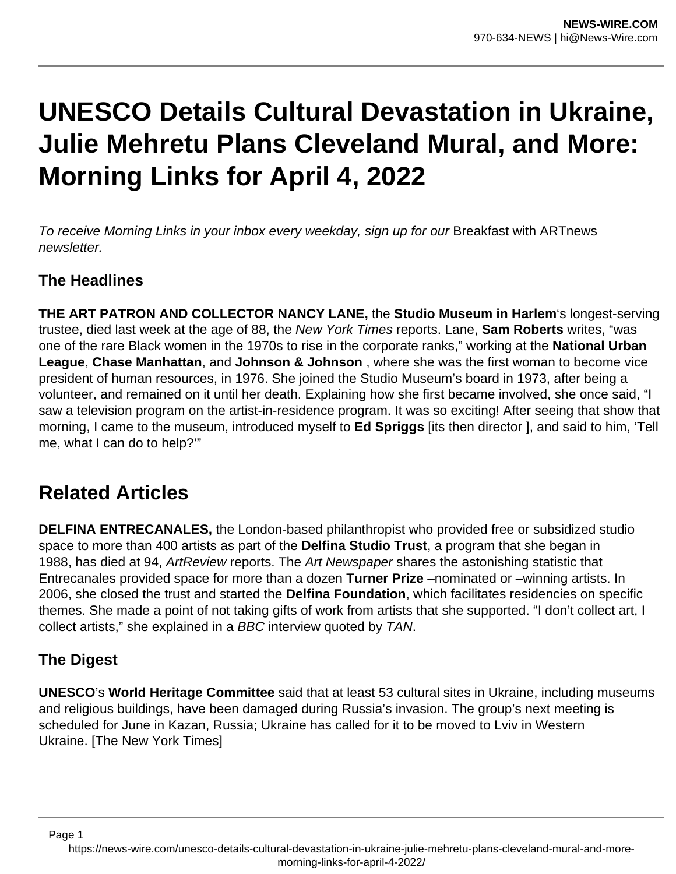# **UNESCO Details Cultural Devastation in Ukraine, Julie Mehretu Plans Cleveland Mural, and More: Morning Links for April 4, 2022**

To receive Morning Links in your inbox every weekday, sign up for our Breakfast with ARTnews newsletter.

### **The Headlines**

**THE ART PATRON AND COLLECTOR NANCY LANE,** the **Studio Museum in Harlem**'s longest-serving trustee, died last week at the age of 88, the New York Times reports. Lane, **Sam Roberts** writes, "was one of the rare Black women in the 1970s to rise in the corporate ranks," working at the **National Urban League**, **Chase Manhattan**, and **Johnson & Johnson** , where she was the first woman to become vice president of human resources, in 1976. She joined the Studio Museum's board in 1973, after being a volunteer, and remained on it until her death. Explaining how she first became involved, she once said, "I saw a television program on the artist-in-residence program. It was so exciting! After seeing that show that morning, I came to the museum, introduced myself to **Ed Spriggs** [its then director ], and said to him, 'Tell me, what I can do to help?'"

## **Related Articles**

**DELFINA ENTRECANALES,** the London-based philanthropist who provided free or subsidized studio space to more than 400 artists as part of the **Delfina Studio Trust**, a program that she began in 1988, has died at 94, ArtReview reports. The Art Newspaper shares the astonishing statistic that Entrecanales provided space for more than a dozen **Turner Prize** –nominated or –winning artists. In 2006, she closed the trust and started the **Delfina Foundation**, which facilitates residencies on specific themes. She made a point of not taking gifts of work from artists that she supported. "I don't collect art, I collect artists," she explained in a BBC interview quoted by TAN.

### **The Digest**

Page 1

**UNESCO**'s **World Heritage Committee** said that at least 53 cultural sites in Ukraine, including museums and religious buildings, have been damaged during Russia's invasion. The group's next meeting is scheduled for June in Kazan, Russia; Ukraine has called for it to be moved to Lviv in Western Ukraine. [The New York Times]

https://news-wire.com/unesco-details-cultural-devastation-in-ukraine-julie-mehretu-plans-cleveland-mural-and-moremorning-links-for-april-4-2022/